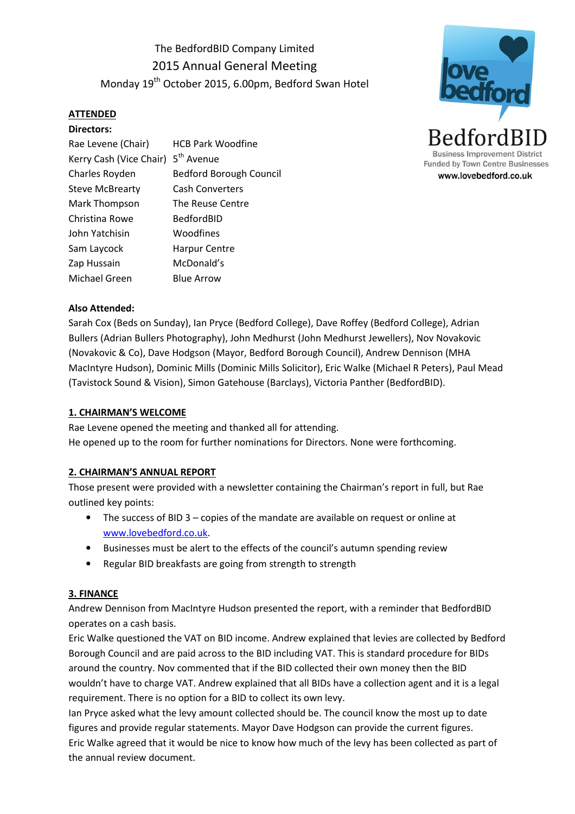The BedfordBID Company Limited 2015 Annual General Meeting Monday 19<sup>th</sup> October 2015, 6.00pm, Bedford Swan Hotel

# ATTENDED

| Directors:              |                                |
|-------------------------|--------------------------------|
| Rae Levene (Chair)      | <b>HCB Park Woodfine</b>       |
| Kerry Cash (Vice Chair) | 5 <sup>th</sup> Avenue         |
| Charles Royden          | <b>Bedford Borough Council</b> |
| <b>Steve McBrearty</b>  | <b>Cash Converters</b>         |
| Mark Thompson           | The Reuse Centre               |
| Christina Rowe          | BedfordBID                     |
| John Yatchisin          | Woodfines                      |
| Sam Laycock             | <b>Harpur Centre</b>           |
| Zap Hussain             | McDonald's                     |
| Michael Green           | <b>Blue Arrow</b>              |



## Also Attended:

Sarah Cox (Beds on Sunday), Ian Pryce (Bedford College), Dave Roffey (Bedford College), Adrian Bullers (Adrian Bullers Photography), John Medhurst (John Medhurst Jewellers), Nov Novakovic (Novakovic & Co), Dave Hodgson (Mayor, Bedford Borough Council), Andrew Dennison (MHA MacIntyre Hudson), Dominic Mills (Dominic Mills Solicitor), Eric Walke (Michael R Peters), Paul Mead (Tavistock Sound & Vision), Simon Gatehouse (Barclays), Victoria Panther (BedfordBID).

### 1. CHAIRMAN'S WELCOME

Rae Levene opened the meeting and thanked all for attending. He opened up to the room for further nominations for Directors. None were forthcoming.

## 2. CHAIRMAN'S ANNUAL REPORT

Those present were provided with a newsletter containing the Chairman's report in full, but Rae outlined key points:

- The success of BID 3 copies of the mandate are available on request or online at www.lovebedford.co.uk.
- Businesses must be alert to the effects of the council's autumn spending review
- Regular BID breakfasts are going from strength to strength

## 3. FINANCE

Andrew Dennison from MacIntyre Hudson presented the report, with a reminder that BedfordBID operates on a cash basis.

Eric Walke questioned the VAT on BID income. Andrew explained that levies are collected by Bedford Borough Council and are paid across to the BID including VAT. This is standard procedure for BIDs around the country. Nov commented that if the BID collected their own money then the BID wouldn't have to charge VAT. Andrew explained that all BIDs have a collection agent and it is a legal requirement. There is no option for a BID to collect its own levy.

Ian Pryce asked what the levy amount collected should be. The council know the most up to date figures and provide regular statements. Mayor Dave Hodgson can provide the current figures. Eric Walke agreed that it would be nice to know how much of the levy has been collected as part of the annual review document.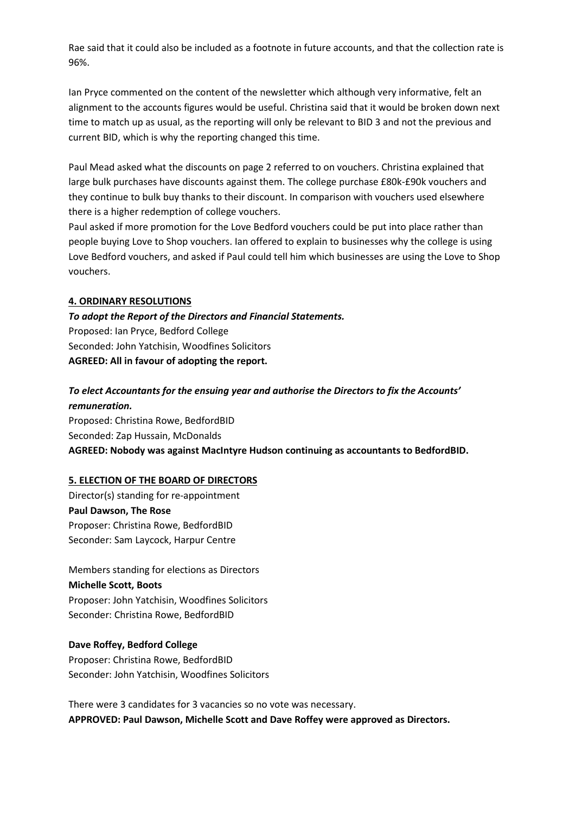Rae said that it could also be included as a footnote in future accounts, and that the collection rate is 96%.

Ian Pryce commented on the content of the newsletter which although very informative, felt an alignment to the accounts figures would be useful. Christina said that it would be broken down next time to match up as usual, as the reporting will only be relevant to BID 3 and not the previous and current BID, which is why the reporting changed this time.

Paul Mead asked what the discounts on page 2 referred to on vouchers. Christina explained that large bulk purchases have discounts against them. The college purchase £80k-£90k vouchers and they continue to bulk buy thanks to their discount. In comparison with vouchers used elsewhere there is a higher redemption of college vouchers.

Paul asked if more promotion for the Love Bedford vouchers could be put into place rather than people buying Love to Shop vouchers. Ian offered to explain to businesses why the college is using Love Bedford vouchers, and asked if Paul could tell him which businesses are using the Love to Shop vouchers.

#### 4. ORDINARY RESOLUTIONS

To adopt the Report of the Directors and Financial Statements. Proposed: Ian Pryce, Bedford College Seconded: John Yatchisin, Woodfines Solicitors AGREED: All in favour of adopting the report.

# To elect Accountants for the ensuing year and authorise the Directors to fix the Accounts' remuneration.

Proposed: Christina Rowe, BedfordBID Seconded: Zap Hussain, McDonalds AGREED: Nobody was against MacIntyre Hudson continuing as accountants to BedfordBID.

## 5. ELECTION OF THE BOARD OF DIRECTORS

Director(s) standing for re-appointment Paul Dawson, The Rose Proposer: Christina Rowe, BedfordBID Seconder: Sam Laycock, Harpur Centre

Members standing for elections as Directors Michelle Scott, Boots Proposer: John Yatchisin, Woodfines Solicitors Seconder: Christina Rowe, BedfordBID

## Dave Roffey, Bedford College

Proposer: Christina Rowe, BedfordBID Seconder: John Yatchisin, Woodfines Solicitors

There were 3 candidates for 3 vacancies so no vote was necessary. APPROVED: Paul Dawson, Michelle Scott and Dave Roffey were approved as Directors.